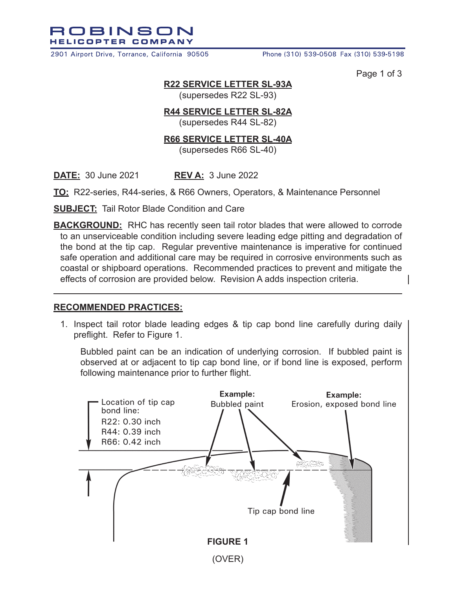ROBINSON **HELICOPTER COMPANY** 

2901 Airport Drive, Torrance, California 90505

Phone (310) 539-0508 Fax (310) 539-5198

Page 1 of 3

## **R22 SERVICE LETTER SL-93A**

(supersedes R22 SL-93)

## **R44 SERVICE LETTER SL-82A**

(supersedes R44 SL-82)

## **R66 SERVICE LETTER SL-40A**

(supersedes R66 SL-40)

**DATE:** 30 June 2021 **REV A:** 3 June 2022

**TO:** R22-series, R44-series, & R66 Owners, Operators, & Maintenance Personnel

**SUBJECT:** Tail Rotor Blade Condition and Care

**BACKGROUND:** RHC has recently seen tail rotor blades that were allowed to corrode to an unserviceable condition including severe leading edge pitting and degradation of the bond at the tip cap. Regular preventive maintenance is imperative for continued safe operation and additional care may be required in corrosive environments such as coastal or shipboard operations. Recommended practices to prevent and mitigate the effects of corrosion are provided below. Revision A adds inspection criteria.

## **RECOMMENDED PRACTICES:**

1. Inspect tail rotor blade leading edges & tip cap bond line carefully during daily preflight. Refer to Figure 1.

Bubbled paint can be an indication of underlying corrosion. If bubbled paint is observed at or adjacent to tip cap bond line, or if bond line is exposed, perform following maintenance prior to further flight.

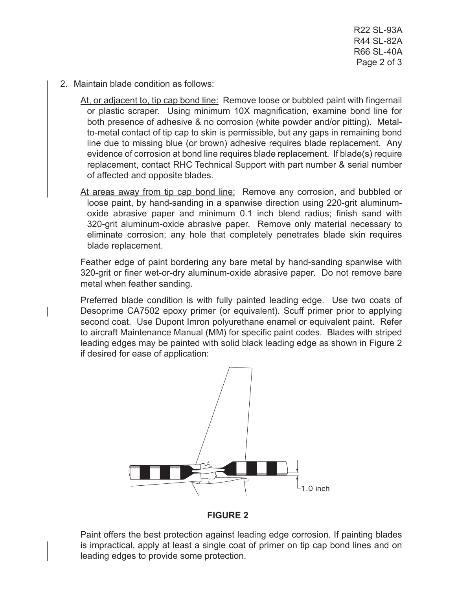R22 SL-93A R44 SL-82A R66 SL-40A Page 2 of 3

2. Maintain blade condition as follows:

At, or adjacent to, tip cap bond line: Remove loose or bubbled paint with fingernail or plastic scraper. Using minimum 10X magnification, examine bond line for both presence of adhesive & no corrosion (white powder and/or pitting). Metalto-metal contact of tip cap to skin is permissible, but any gaps in remaining bond line due to missing blue (or brown) adhesive requires blade replacement. Any evidence of corrosion at bond line requires blade replacement. If blade(s) require replacement, contact RHC Technical Support with part number & serial number of affected and opposite blades.

At areas away from tip cap bond line: Remove any corrosion, and bubbled or loose paint, by hand-sanding in a spanwise direction using 220-grit aluminumoxide abrasive paper and minimum 0.1 inch blend radius; finish sand with 320-grit aluminum-oxide abrasive paper. Remove only material necessary to eliminate corrosion; any hole that completely penetrates blade skin requires blade replacement.

Feather edge of paint bordering any bare metal by hand-sanding spanwise with 320-grit or finer wet-or-dry aluminum-oxide abrasive paper. Do not remove bare metal when feather sanding.

Preferred blade condition is with fully painted leading edge. Use two coats of Desoprime CA7502 epoxy primer (or equivalent). Scuff primer prior to applying second coat. Use Dupont Imron polyurethane enamel or equivalent paint. Refer to aircraft Maintenance Manual (MM) for specific paint codes. Blades with striped leading edges may be painted with solid black leading edge as shown in Figure 2 if desired for ease of application:



**FIGURE 2**

Paint offers the best protection against leading edge corrosion. If painting blades is impractical, apply at least a single coat of primer on tip cap bond lines and on leading edges to provide some protection.